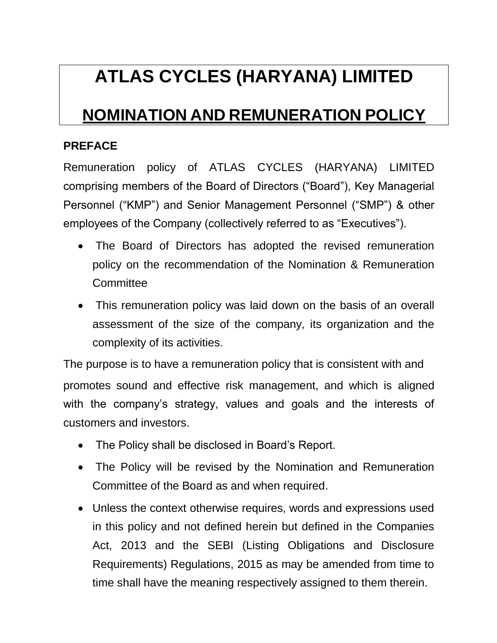# **ATLAS CYCLES (HARYANA) LIMITED**

# **NOMINATION AND REMUNERATION POLICY**

### **PREFACE**

Remuneration policy of ATLAS CYCLES (HARYANA) LIMITED comprising members of the Board of Directors ("Board"), Key Managerial Personnel ("KMP") and Senior Management Personnel ("SMP") & other employees of the Company (collectively referred to as "Executives").

- The Board of Directors has adopted the revised remuneration policy on the recommendation of the Nomination & Remuneration **Committee**
- This remuneration policy was laid down on the basis of an overall assessment of the size of the company, its organization and the complexity of its activities.

The purpose is to have a remuneration policy that is consistent with and promotes sound and effective risk management, and which is aligned with the company's strategy, values and goals and the interests of customers and investors.

- The Policy shall be disclosed in Board's Report.
- The Policy will be revised by the Nomination and Remuneration Committee of the Board as and when required.
- Unless the context otherwise requires, words and expressions used in this policy and not defined herein but defined in the Companies Act, 2013 and the SEBI (Listing Obligations and Disclosure Requirements) Regulations, 2015 as may be amended from time to time shall have the meaning respectively assigned to them therein.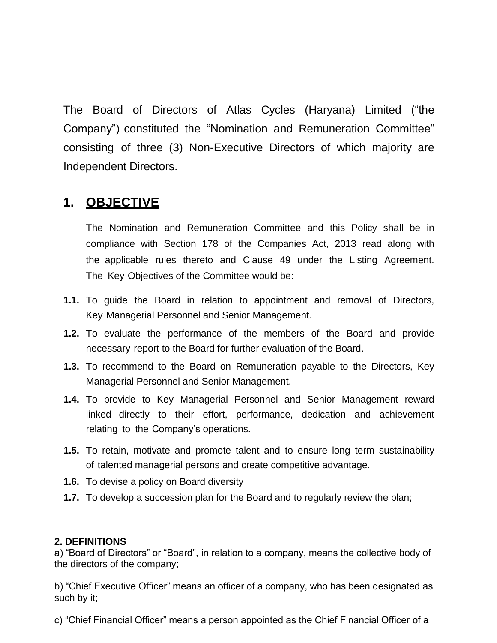The Board of Directors of Atlas Cycles (Haryana) Limited ("the Company") constituted the "Nomination and Remuneration Committee" consisting of three (3) Non-Executive Directors of which majority are Independent Directors.

### **1. OBJECTIVE**

The Nomination and Remuneration Committee and this Policy shall be in compliance with Section 178 of the Companies Act, 2013 read along with the applicable rules thereto and Clause 49 under the Listing Agreement. The Key Objectives of the Committee would be:

- **1.1.** To guide the Board in relation to appointment and removal of Directors, Key Managerial Personnel and Senior Management.
- **1.2.** To evaluate the performance of the members of the Board and provide necessary report to the Board for further evaluation of the Board.
- **1.3.** To recommend to the Board on Remuneration payable to the Directors, Key Managerial Personnel and Senior Management.
- **1.4.** To provide to Key Managerial Personnel and Senior Management reward linked directly to their effort, performance, dedication and achievement relating to the Company's operations.
- **1.5.** To retain, motivate and promote talent and to ensure long term sustainability of talented managerial persons and create competitive advantage.
- **1.6.** To devise a policy on Board diversity
- **1.7.** To develop a succession plan for the Board and to regularly review the plan;

#### **2. DEFINITIONS**

a) "Board of Directors" or "Board", in relation to a company, means the collective body of the directors of the company;

b) "Chief Executive Officer" means an officer of a company, who has been designated as such by it;

c) "Chief Financial Officer" means a person appointed as the Chief Financial Officer of a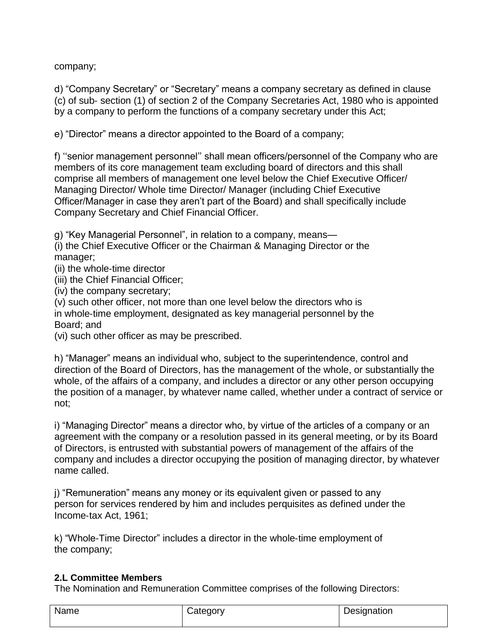company;

d) "Company Secretary" or "Secretary" means a company secretary as defined in clause (c) of sub‐ section (1) of section 2 of the Company Secretaries Act, 1980 who is appointed by a company to perform the functions of a company secretary under this Act;

e) "Director" means a director appointed to the Board of a company;

f) "senior management personnel" shall mean officers/personnel of the Company who are members of its core management team excluding board of directors and this shall comprise all members of management one level below the Chief Executive Officer/ Managing Director/ Whole time Director/ Manager (including Chief Executive Officer/Manager in case they aren"t part of the Board) and shall specifically include Company Secretary and Chief Financial Officer.

g) "Key Managerial Personnel", in relation to a company, means—

(i) the Chief Executive Officer or the Chairman & Managing Director or the manager;

(ii) the whole‐time director

(iii) the Chief Financial Officer;

(iv) the company secretary;

(v) such other officer, not more than one level below the directors who is in whole‐time employment, designated as key managerial personnel by the Board; and

(vi) such other officer as may be prescribed.

h) "Manager" means an individual who, subject to the superintendence, control and direction of the Board of Directors, has the management of the whole, or substantially the whole, of the affairs of a company, and includes a director or any other person occupying the position of a manager, by whatever name called, whether under a contract of service or not;

i) "Managing Director" means a director who, by virtue of the articles of a company or an agreement with the company or a resolution passed in its general meeting, or by its Board of Directors, is entrusted with substantial powers of management of the affairs of the company and includes a director occupying the position of managing director, by whatever name called.

j) "Remuneration" means any money or its equivalent given or passed to any person for services rendered by him and includes perquisites as defined under the Income‐tax Act, 1961;

k) "Whole‐Time Director" includes a director in the whole‐time employment of the company;

#### **2.L Committee Members**

The Nomination and Remuneration Committee comprises of the following Directors:

| Name | Category | Designation |
|------|----------|-------------|
|      |          |             |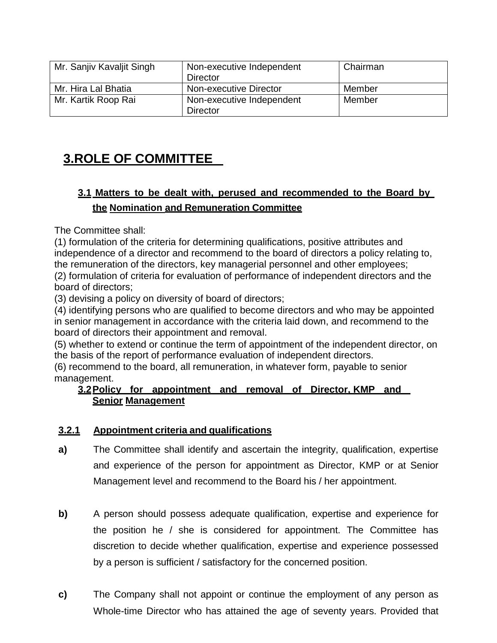| Mr. Sanjiv Kavaljit Singh | Non-executive Independent<br>Director | Chairman |
|---------------------------|---------------------------------------|----------|
| Mr. Hira Lal Bhatia       | Non-executive Director                | Member   |
| Mr. Kartik Roop Rai       | Non-executive Independent             | Member   |
|                           | Director                              |          |

# **3.ROLE OF COMMITTEE**

### **3.1 Matters to be dealt with, perused and recommended to the Board by the Nomination and Remuneration Committee**

The Committee shall:

(1) formulation of the criteria for determining qualifications, positive attributes and independence of a director and recommend to the board of directors a policy relating to, the remuneration of the directors, key managerial personnel and other employees;

(2) formulation of criteria for evaluation of performance of independent directors and the board of directors;

(3) devising a policy on diversity of board of directors;

(4) identifying persons who are qualified to become directors and who may be appointed in senior management in accordance with the criteria laid down, and recommend to the board of directors their appointment and removal.

(5) whether to extend or continue the term of appointment of the independent director, on the basis of the report of performance evaluation of independent directors.

(6) recommend to the board, all remuneration, in whatever form, payable to senior management.

#### **3.2Policy for appointment and removal of Director, KMP and Senior Management**

#### **3.2.1 Appointment criteria and qualifications**

- **a)** The Committee shall identify and ascertain the integrity, qualification, expertise and experience of the person for appointment as Director, KMP or at Senior Management level and recommend to the Board his / her appointment.
- **b)** A person should possess adequate qualification, expertise and experience for the position he / she is considered for appointment. The Committee has discretion to decide whether qualification, expertise and experience possessed by a person is sufficient / satisfactory for the concerned position.
- **c)** The Company shall not appoint or continue the employment of any person as Whole-time Director who has attained the age of seventy years. Provided that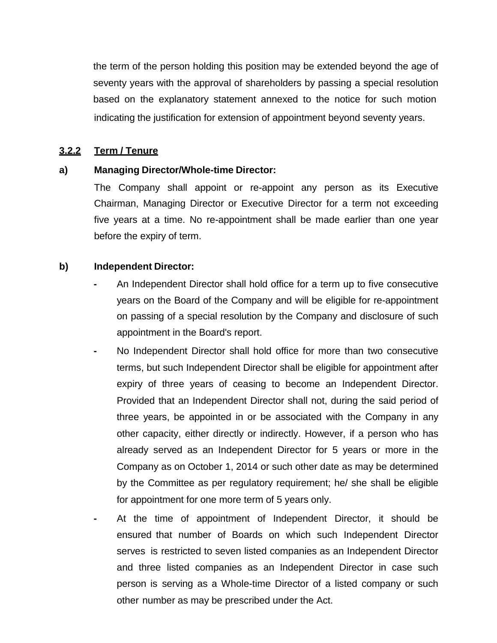the term of the person holding this position may be extended beyond the age of seventy years with the approval of shareholders by passing a special resolution based on the explanatory statement annexed to the notice for such motion indicating the justification for extension of appointment beyond seventy years.

#### **3.2.2 Term / Tenure**

#### **a) Managing Director/Whole-time Director:**

The Company shall appoint or re-appoint any person as its Executive Chairman, Managing Director or Executive Director for a term not exceeding five years at a time. No re-appointment shall be made earlier than one year before the expiry of term.

#### **b) Independent Director:**

- **-** An Independent Director shall hold office for a term up to five consecutive years on the Board of the Company and will be eligible for re-appointment on passing of a special resolution by the Company and disclosure of such appointment in the Board's report.
- **-** No Independent Director shall hold office for more than two consecutive terms, but such Independent Director shall be eligible for appointment after expiry of three years of ceasing to become an Independent Director. Provided that an Independent Director shall not, during the said period of three years, be appointed in or be associated with the Company in any other capacity, either directly or indirectly. However, if a person who has already served as an Independent Director for 5 years or more in the Company as on October 1, 2014 or such other date as may be determined by the Committee as per regulatory requirement; he/ she shall be eligible for appointment for one more term of 5 years only.
- **-** At the time of appointment of Independent Director, it should be ensured that number of Boards on which such Independent Director serves is restricted to seven listed companies as an Independent Director and three listed companies as an Independent Director in case such person is serving as a Whole-time Director of a listed company or such other number as may be prescribed under the Act.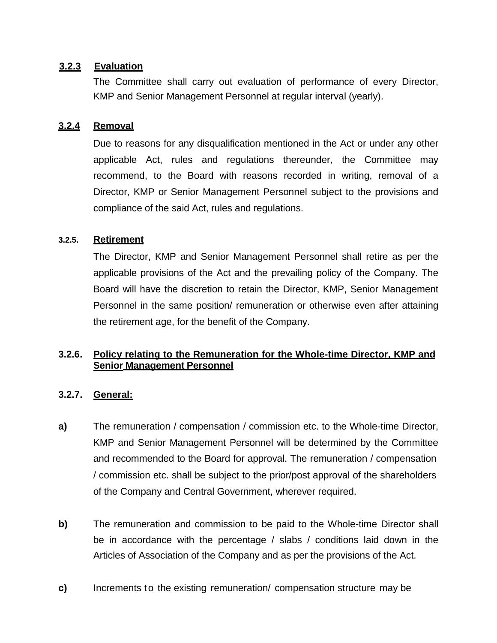#### **3.2.3 Evaluation**

The Committee shall carry out evaluation of performance of every Director, KMP and Senior Management Personnel at regular interval (yearly).

#### **3.2.4 Removal**

Due to reasons for any disqualification mentioned in the Act or under any other applicable Act, rules and regulations thereunder, the Committee may recommend, to the Board with reasons recorded in writing, removal of a Director, KMP or Senior Management Personnel subject to the provisions and compliance of the said Act, rules and regulations.

#### **3.2.5. Retirement**

The Director, KMP and Senior Management Personnel shall retire as per the applicable provisions of the Act and the prevailing policy of the Company. The Board will have the discretion to retain the Director, KMP, Senior Management Personnel in the same position/ remuneration or otherwise even after attaining the retirement age, for the benefit of the Company.

#### **3.2.6. Policy relating to the Remuneration for the Whole-time Director, KMP and Senior Management Personnel**

#### **3.2.7. General:**

- **a)** The remuneration / compensation / commission etc. to the Whole-time Director, KMP and Senior Management Personnel will be determined by the Committee and recommended to the Board for approval. The remuneration / compensation / commission etc. shall be subject to the prior/post approval of the shareholders of the Company and Central Government, wherever required.
- **b)** The remuneration and commission to be paid to the Whole-time Director shall be in accordance with the percentage / slabs / conditions laid down in the Articles of Association of the Company and as per the provisions of the Act.
- **c)** Increments to the existing remuneration/ compensation structure may be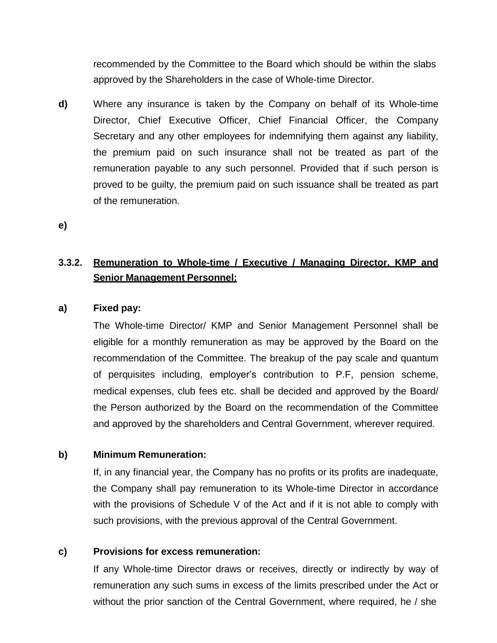recommended by the Committee to the Board which should be within the slabs approved by the Shareholders in the case of Whole-time Director.

**d)** Where any insurance is taken by the Company on behalf of its Whole-time Director, Chief Executive Officer, Chief Financial Officer, the Company Secretary and any other employees for indemnifying them against any liability, the premium paid on such insurance shall not be treated as part of the remuneration payable to any such personnel. Provided that if such person is proved to be guilty, the premium paid on such issuance shall be treated as part of the remuneration.

**e)**

### **3.3.2. Remuneration to Whole-time / Executive / Managing Director, KMP and Senior Management Personnel:**

#### **a) Fixed pay:**

The Whole-time Director/ KMP and Senior Management Personnel shall be eligible for a monthly remuneration as may be approved by the Board on the recommendation of the Committee. The breakup of the pay scale and quantum of perquisites including, employer"s contribution to P.F, pension scheme, medical expenses, club fees etc. shall be decided and approved by the Board/ the Person authorized by the Board on the recommendation of the Committee and approved by the shareholders and Central Government, wherever required.

#### **b) Minimum Remuneration:**

If, in any financial year, the Company has no profits or its profits are inadequate, the Company shall pay remuneration to its Whole-time Director in accordance with the provisions of Schedule V of the Act and if it is not able to comply with such provisions, with the previous approval of the Central Government.

#### **c) Provisions for excess remuneration:**

If any Whole-time Director draws or receives, directly or indirectly by way of remuneration any such sums in excess of the limits prescribed under the Act or without the prior sanction of the Central Government, where required, he / she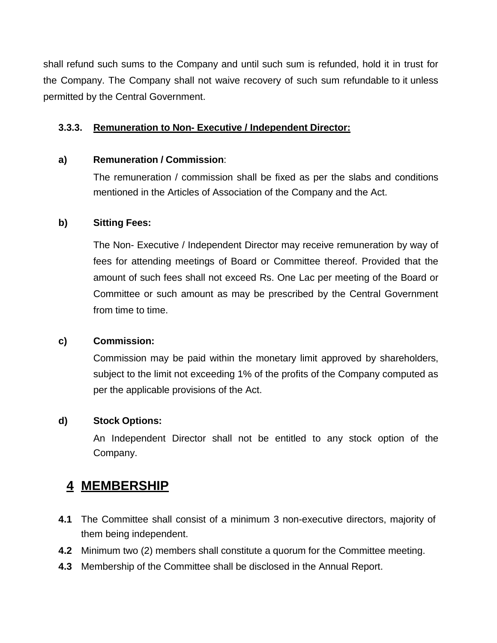shall refund such sums to the Company and until such sum is refunded, hold it in trust for the Company. The Company shall not waive recovery of such sum refundable to it unless permitted by the Central Government.

#### **3.3.3. Remuneration to Non- Executive / Independent Director:**

#### **a) Remuneration / Commission**:

The remuneration / commission shall be fixed as per the slabs and conditions mentioned in the Articles of Association of the Company and the Act.

#### **b) Sitting Fees:**

The Non- Executive / Independent Director may receive remuneration by way of fees for attending meetings of Board or Committee thereof. Provided that the amount of such fees shall not exceed Rs. One Lac per meeting of the Board or Committee or such amount as may be prescribed by the Central Government from time to time.

#### **c) Commission:**

Commission may be paid within the monetary limit approved by shareholders, subject to the limit not exceeding 1% of the profits of the Company computed as per the applicable provisions of the Act.

#### **d) Stock Options:**

An Independent Director shall not be entitled to any stock option of the Company.

### **4 MEMBERSHIP**

- **4.1** The Committee shall consist of a minimum 3 non-executive directors, majority of them being independent.
- **4.2** Minimum two (2) members shall constitute a quorum for the Committee meeting.
- **4.3** Membership of the Committee shall be disclosed in the Annual Report.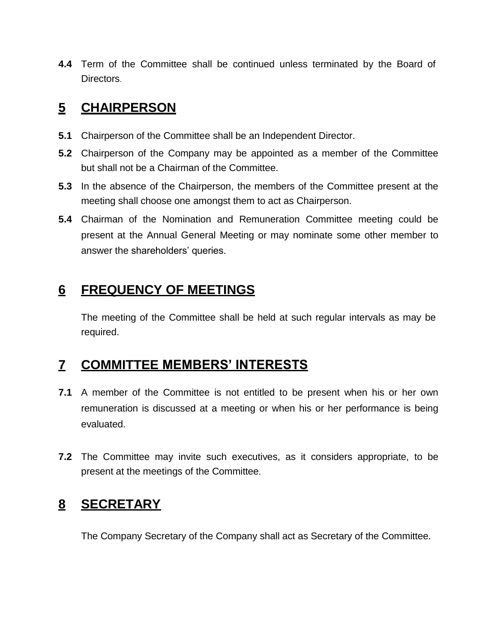**4.4** Term of the Committee shall be continued unless terminated by the Board of Directors.

### **5 CHAIRPERSON**

- **5.1** Chairperson of the Committee shall be an Independent Director.
- **5.2** Chairperson of the Company may be appointed as a member of the Committee but shall not be a Chairman of the Committee.
- **5.3** In the absence of the Chairperson, the members of the Committee present at the meeting shall choose one amongst them to act as Chairperson.
- **5.4** Chairman of the Nomination and Remuneration Committee meeting could be present at the Annual General Meeting or may nominate some other member to answer the shareholders' queries.

# **6 FREQUENCY OF MEETINGS**

The meeting of the Committee shall be held at such regular intervals as may be required.

# **7 COMMITTEE MEMBERS' INTERESTS**

- **7.1** A member of the Committee is not entitled to be present when his or her own remuneration is discussed at a meeting or when his or her performance is being evaluated.
- **7.2** The Committee may invite such executives, as it considers appropriate, to be present at the meetings of the Committee.

# **8 SECRETARY**

The Company Secretary of the Company shall act as Secretary of the Committee.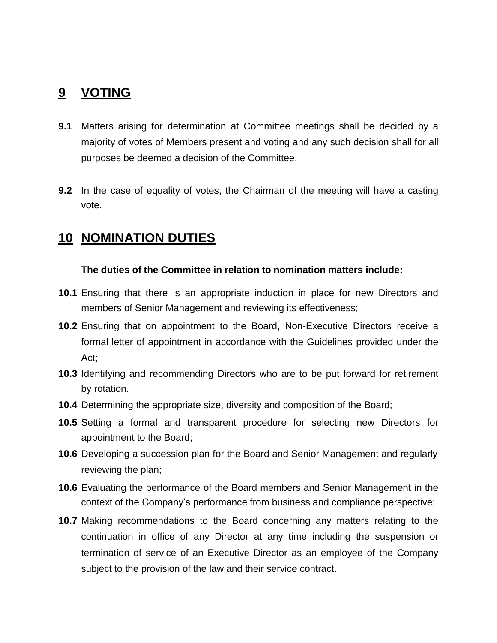### **9 VOTING**

- **9.1** Matters arising for determination at Committee meetings shall be decided by a majority of votes of Members present and voting and any such decision shall for all purposes be deemed a decision of the Committee.
- **9.2** In the case of equality of votes, the Chairman of the meeting will have a casting vote.

### **10 NOMINATION DUTIES**

#### **The duties of the Committee in relation to nomination matters include:**

- **10.1** Ensuring that there is an appropriate induction in place for new Directors and members of Senior Management and reviewing its effectiveness;
- **10.2** Ensuring that on appointment to the Board, Non-Executive Directors receive a formal letter of appointment in accordance with the Guidelines provided under the Act;
- **10.3** Identifying and recommending Directors who are to be put forward for retirement by rotation.
- **10.4** Determining the appropriate size, diversity and composition of the Board;
- **10.5** Setting a formal and transparent procedure for selecting new Directors for appointment to the Board;
- **10.6** Developing a succession plan for the Board and Senior Management and regularly reviewing the plan;
- **10.6** Evaluating the performance of the Board members and Senior Management in the context of the Company"s performance from business and compliance perspective;
- **10.7** Making recommendations to the Board concerning any matters relating to the continuation in office of any Director at any time including the suspension or termination of service of an Executive Director as an employee of the Company subject to the provision of the law and their service contract.